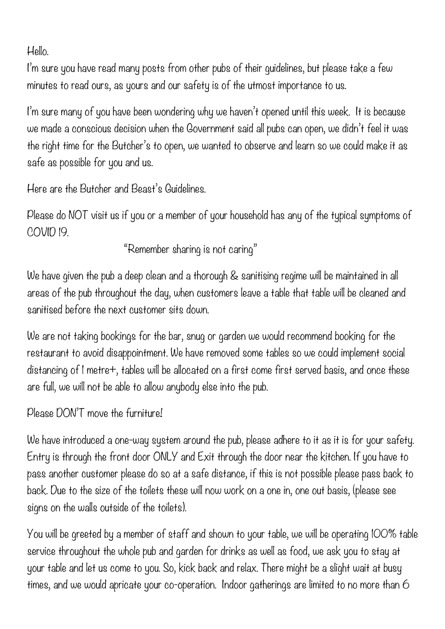Hello.

I'm sure you have read many posts from other pubs of their guidelines, but please take a few minutes to read ours, as yours and our safety is of the utmost importance to us.

I'm sure many of you have been wondering why we haven't opened until this week. It is because we made a conscious decision when the Government said all pubs can open, we didn't feel it was the right time for the Butcher's to open, we wanted to observe and learn so we could make it as safe as possible for you and us.

Here are the Butcher and Beast's Guidelines.

Please do NOT visit us if you or a member of your household has any of the typical symptoms of COVID 19.

"Remember sharing is not caring"

We have given the pub a deep clean and a thorough & sanitising regime will be maintained in all areas of the pub throughout the day, when customers leave a table that table will be cleaned and sanitised before the next customer sits down.

We are not taking bookings for the bar, snug or garden we would recommend booking for the restaurant to avoid disappointment. We have removed some tables so we could implement social distancing of 1 metre+, tables will be allocated on a first come first served basis, and once these are full, we will not be able to allow anybody else into the pub.

Please DON'T move the furniture!

We have introduced a one-way system around the pub, please adhere to it as it is for your safety. Entry is through the front door ONLY and Exit through the door near the kitchen. If you have to pass another customer please do so at a safe distance, if this is not possible please pass back to back. Due to the size of the toilets these will now work on a one in, one out basis, (please see signs on the walls outside of the toilets).

You will be greeted by a member of staff and shown to your table, we will be operating 100% table service throughout the whole pub and garden for drinks as well as food, we ask you to stay at your table and let us come to you. So, kick back and relax. There might be a slight wait at busy times, and we would apricate your co-operation. Indoor gatherings are limited to no more than 6